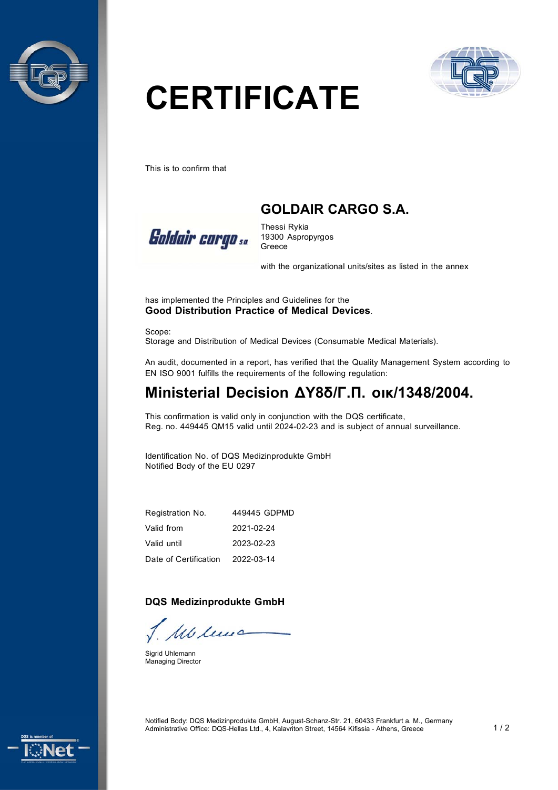



# **CERTIFICATE**

This is to confirm that

## **GOLDAIR CARGO S.A.**



Thessi Rykia 19300 Aspropyrgos Greece

with the organizational units/sites as listed in the annex

has implemented the Principles and Guidelines for the **Good Distribution Practice of Medical Devices**.

Scope: Storage and Distribution of Medical Devices (Consumable Medical Materials).

An audit, documented in a report, has verified that the Quality Management System according to ΕΝ ISO 9001 fulfills the requirements of the following regulation:

## **Ministerial Decision ΔΥ8δ/Γ.Π. οικ/1348/2004.**

This confirmation is valid only in conjunction with the DQS certificate, Reg. no. 449445 QM15 valid until 2024-02-23 and is subject of annual surveillance.

Identification No. of DQS Medizinprodukte GmbH Notified Body of the EU 0297

Registration No. Valid from Valid until Date of Certification 449445 GDPMD 2021-02-24 2023-02-23 2022-03-14

#### **DQS Medizinprodukte GmbH**

Mu leva

Sigrid Uhlemann Managing Director



Notified Body: DQS Medizinprodukte GmbH, August-Schanz-Str. 21, 60433 Frankfurt a. M., Germany Administrative Office: DQS-Hellas Ltd., 4, Kalavriton Street, 14564 Kifissia - Athens, Greece 1 / 2